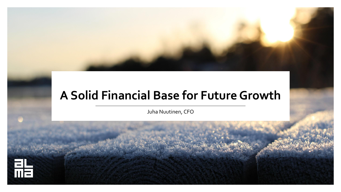## **A Solid Financial Base for Future Growth**

Juha Nuutinen, CFO

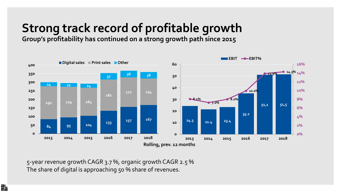# **Strong track record of profitable growth**

**Group's profitability has continued on a strong growth path since 2015** 



5-year revenue growth CAGR 3.7 %, organic growth CAGR 2.5 % The share of digital is approaching 50 % share of revenues.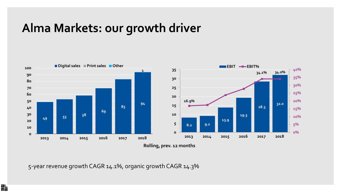### **Alma Markets: our growth driver**



5-year revenue growth CAGR 14.1%, organic growth CAGR 14.3%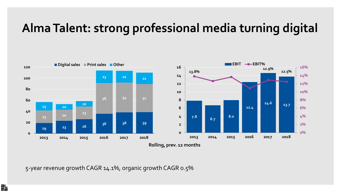# **Alma Talent: strong professional media turning digital**



5-year revenue growth CAGR 14.1%, organic growth CAGR 0.5%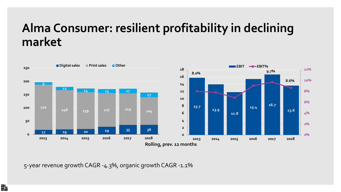### **Alma Consumer: resilient profitability in declining market**



5-year revenue growth CAGR -4.3%, organic growth CAGR -1.1%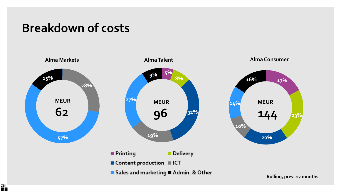#### **Breakdown of costs**

脂



**Rolling, prev. 12 months**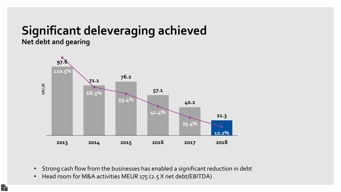#### **Significant deleveraging achieved Net debt and gearing**



- Strong cash flow from the businesses has enabled a significant reduction in debt
- Head room for M&A activities MEUR 175 (2.5 X net debt/EBITDA)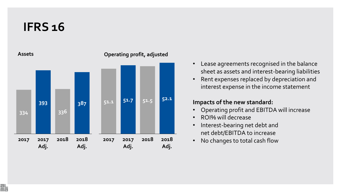#### **IFRS 16**

**Assets**



#### **Operating profit, adjusted**

- Lease agreements recognised in the balance sheet as assets and interest-bearing liabilities
- Rent expenses replaced by depreciation and interest expense in the income statement

#### **Impacts of the new standard:**

- Operating profit and EBITDA will increase
- ROI% will decrease
- Interest-bearing net debt and net debt/EBITDA to increase
- No changes to total cash flow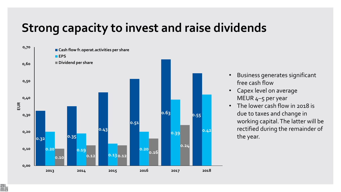## **Strong capacity to invest and raise dividends**



骷

- Business generates significant free cash flow
- Capex level on average MEUR 4–5 per year
- The lower cash flow in 2018 is due to taxes and change in working capital. The latter will be rectified during the remainder of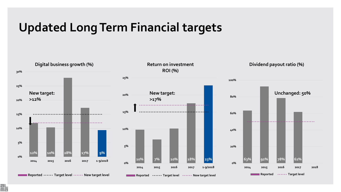#### **Updated Long Term Financial targets**



脂